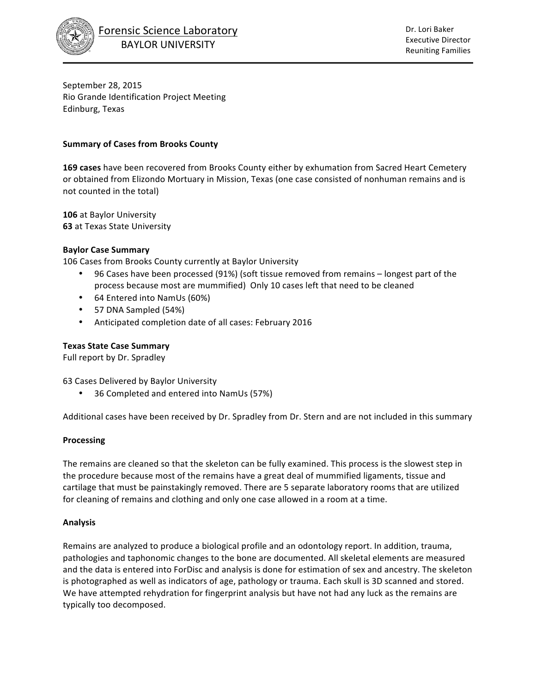

September 28, 2015 Rio Grande Identification Project Meeting Edinburg, Texas

### **Summary of Cases from Brooks County**

**169 cases** have been recovered from Brooks County either by exhumation from Sacred Heart Cemetery or obtained from Elizondo Mortuary in Mission, Texas (one case consisted of nonhuman remains and is not counted in the total)

**106** at Baylor University **63** at Texas State University

### **Baylor Case Summary**

106 Cases from Brooks County currently at Baylor University

- 96 Cases have been processed (91%) (soft tissue removed from remains longest part of the process because most are mummified) Only 10 cases left that need to be cleaned
- 64 Entered into NamUs (60%)
- 57 DNA Sampled (54%)
- Anticipated completion date of all cases: February 2016

### **Texas State Case Summary**

Full report by Dr. Spradley

63 Cases Delivered by Baylor University

• 36 Completed and entered into NamUs (57%)

Additional cases have been received by Dr. Spradley from Dr. Stern and are not included in this summary

#### **Processing**

The remains are cleaned so that the skeleton can be fully examined. This process is the slowest step in the procedure because most of the remains have a great deal of mummified ligaments, tissue and cartilage that must be painstakingly removed. There are 5 separate laboratory rooms that are utilized for cleaning of remains and clothing and only one case allowed in a room at a time.

#### **Analysis**

Remains are analyzed to produce a biological profile and an odontology report. In addition, trauma, pathologies and taphonomic changes to the bone are documented. All skeletal elements are measured and the data is entered into ForDisc and analysis is done for estimation of sex and ancestry. The skeleton is photographed as well as indicators of age, pathology or trauma. Each skull is 3D scanned and stored. We have attempted rehydration for fingerprint analysis but have not had any luck as the remains are typically too decomposed.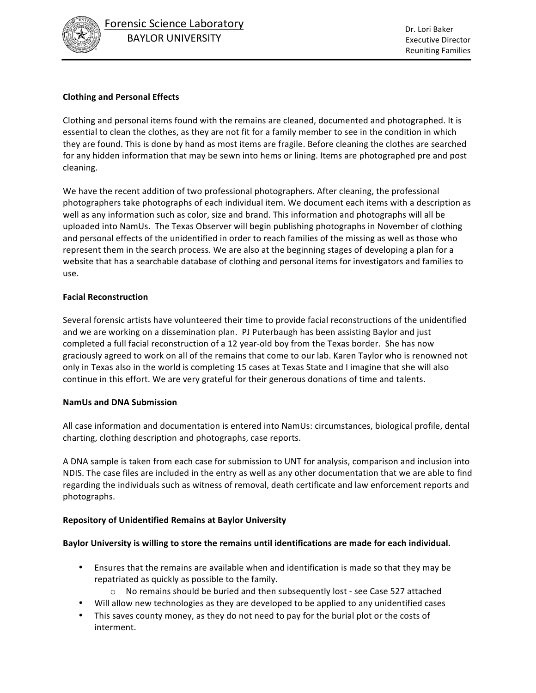

# **Clothing and Personal Effects**

Clothing and personal items found with the remains are cleaned, documented and photographed. It is essential to clean the clothes, as they are not fit for a family member to see in the condition in which they are found. This is done by hand as most items are fragile. Before cleaning the clothes are searched for any hidden information that may be sewn into hems or lining. Items are photographed pre and post cleaning. 

We have the recent addition of two professional photographers. After cleaning, the professional photographers take photographs of each individual item. We document each items with a description as well as any information such as color, size and brand. This information and photographs will all be uploaded into NamUs. The Texas Observer will begin publishing photographs in November of clothing and personal effects of the unidentified in order to reach families of the missing as well as those who represent them in the search process. We are also at the beginning stages of developing a plan for a website that has a searchable database of clothing and personal items for investigators and families to use.

### **Facial Reconstruction**

Several forensic artists have volunteered their time to provide facial reconstructions of the unidentified and we are working on a dissemination plan. PJ Puterbaugh has been assisting Baylor and just completed a full facial reconstruction of a 12 year-old boy from the Texas border. She has now graciously agreed to work on all of the remains that come to our lab. Karen Taylor who is renowned not only in Texas also in the world is completing 15 cases at Texas State and I imagine that she will also continue in this effort. We are very grateful for their generous donations of time and talents.

### **NamUs and DNA Submission**

All case information and documentation is entered into NamUs: circumstances, biological profile, dental charting, clothing description and photographs, case reports.

A DNA sample is taken from each case for submission to UNT for analysis, comparison and inclusion into NDIS. The case files are included in the entry as well as any other documentation that we are able to find regarding the individuals such as witness of removal, death certificate and law enforcement reports and photographs.

### **Repository of Unidentified Remains at Baylor University**

### Baylor University is willing to store the remains until identifications are made for each individual.

- Ensures that the remains are available when and identification is made so that they may be repatriated as quickly as possible to the family.
	- $\circ$  No remains should be buried and then subsequently lost see Case 527 attached
- Will allow new technologies as they are developed to be applied to any unidentified cases
- This saves county money, as they do not need to pay for the burial plot or the costs of interment.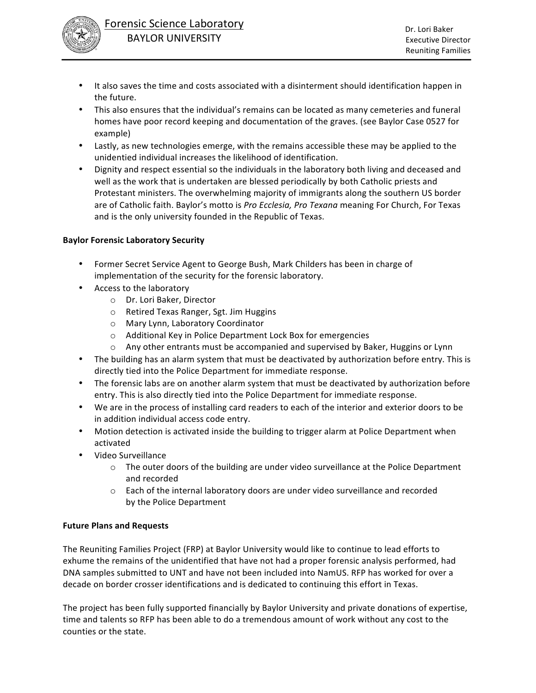

- It also saves the time and costs associated with a disinterment should identification happen in the future.
- This also ensures that the individual's remains can be located as many cemeteries and funeral homes have poor record keeping and documentation of the graves. (see Baylor Case 0527 for example)
- Lastly, as new technologies emerge, with the remains accessible these may be applied to the unidentied individual increases the likelihood of identification.
- Dignity and respect essential so the individuals in the laboratory both living and deceased and well as the work that is undertaken are blessed periodically by both Catholic priests and Protestant ministers. The overwhelming majority of immigrants along the southern US border are of Catholic faith. Baylor's motto is *Pro Ecclesia, Pro Texana* meaning For Church, For Texas and is the only university founded in the Republic of Texas.

# **Baylor Forensic Laboratory Security**

- Former Secret Service Agent to George Bush, Mark Childers has been in charge of implementation of the security for the forensic laboratory.
- Access to the laboratory
	- o Dr. Lori Baker, Director
	- o Retired Texas Ranger, Sgt. Jim Huggins
	- o Mary Lynn, Laboratory Coordinator
	- o Additional Key in Police Department Lock Box for emergencies
	- $\circ$  Any other entrants must be accompanied and supervised by Baker, Huggins or Lynn
- The building has an alarm system that must be deactivated by authorization before entry. This is directly tied into the Police Department for immediate response.
- The forensic labs are on another alarm system that must be deactivated by authorization before entry. This is also directly tied into the Police Department for immediate response.
- We are in the process of installing card readers to each of the interior and exterior doors to be in addition individual access code entry.
- Motion detection is activated inside the building to trigger alarm at Police Department when activated
- Video Surveillance
	- $\circ$  The outer doors of the building are under video surveillance at the Police Department and recorded
	- o Each of the internal laboratory doors are under video surveillance and recorded by the Police Department

### **Future Plans and Requests**

The Reuniting Families Project (FRP) at Baylor University would like to continue to lead efforts to exhume the remains of the unidentified that have not had a proper forensic analysis performed, had DNA samples submitted to UNT and have not been included into NamUS. RFP has worked for over a decade on border crosser identifications and is dedicated to continuing this effort in Texas.

The project has been fully supported financially by Baylor University and private donations of expertise, time and talents so RFP has been able to do a tremendous amount of work without any cost to the counties or the state.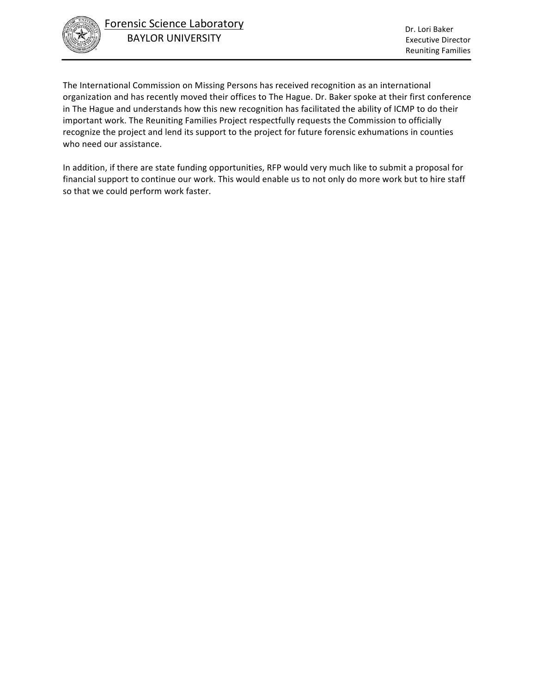

The International Commission on Missing Persons has received recognition as an international organization and has recently moved their offices to The Hague. Dr. Baker spoke at their first conference in The Hague and understands how this new recognition has facilitated the ability of ICMP to do their important work. The Reuniting Families Project respectfully requests the Commission to officially recognize the project and lend its support to the project for future forensic exhumations in counties who need our assistance.

In addition, if there are state funding opportunities, RFP would very much like to submit a proposal for financial support to continue our work. This would enable us to not only do more work but to hire staff so that we could perform work faster.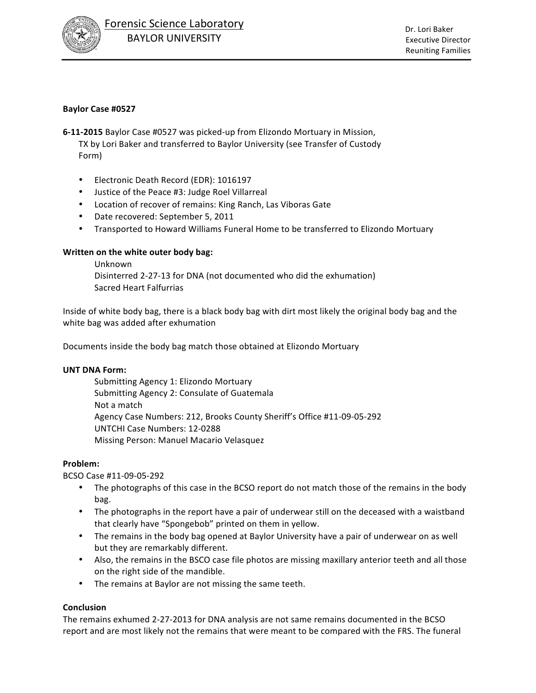

## **Baylor Case #0527**

**6-11-2015** Baylor Case #0527 was picked-up from Elizondo Mortuary in Mission,

TX by Lori Baker and transferred to Baylor University (see Transfer of Custody Form)

- Electronic Death Record (EDR): 1016197
- Justice of the Peace #3: Judge Roel Villarreal
- Location of recover of remains: King Ranch, Las Viboras Gate
- Date recovered: September 5, 2011
- Transported to Howard Williams Funeral Home to be transferred to Elizondo Mortuary

### **Written on the white outer body bag:**

Unknown Disinterred 2-27-13 for DNA (not documented who did the exhumation) Sacred Heart Falfurrias

Inside of white body bag, there is a black body bag with dirt most likely the original body bag and the white bag was added after exhumation

Documents inside the body bag match those obtained at Elizondo Mortuary

### **UNT DNA Form:**

Submitting Agency 1: Elizondo Mortuary Submitting Agency 2: Consulate of Guatemala Not a match Agency Case Numbers: 212, Brooks County Sheriff's Office #11-09-05-292 UNTCHI Case Numbers: 12-0288 Missing Person: Manuel Macario Velasquez

### **Problem:**

BCSO Case #11-09-05-292

- The photographs of this case in the BCSO report do not match those of the remains in the body bag.
- The photographs in the report have a pair of underwear still on the deceased with a waistband that clearly have "Spongebob" printed on them in yellow.
- The remains in the body bag opened at Baylor University have a pair of underwear on as well but they are remarkably different.
- Also, the remains in the BSCO case file photos are missing maxillary anterior teeth and all those on the right side of the mandible.
- The remains at Baylor are not missing the same teeth.

### **Conclusion**

The remains exhumed 2-27-2013 for DNA analysis are not same remains documented in the BCSO report and are most likely not the remains that were meant to be compared with the FRS. The funeral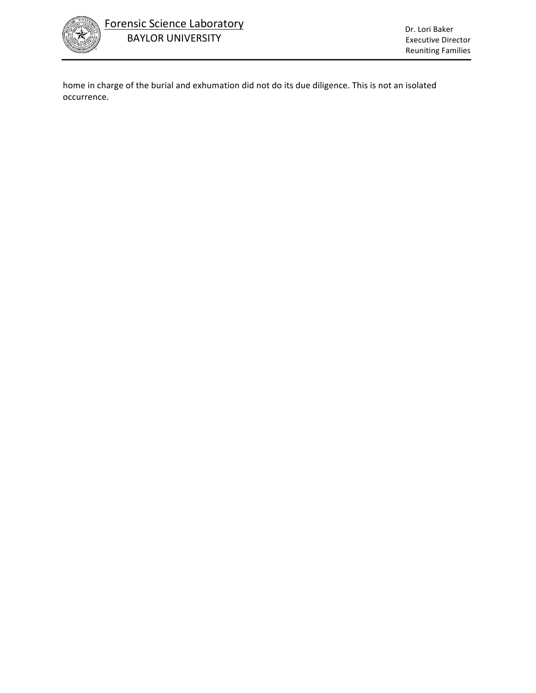

home in charge of the burial and exhumation did not do its due diligence. This is not an isolated occurrence.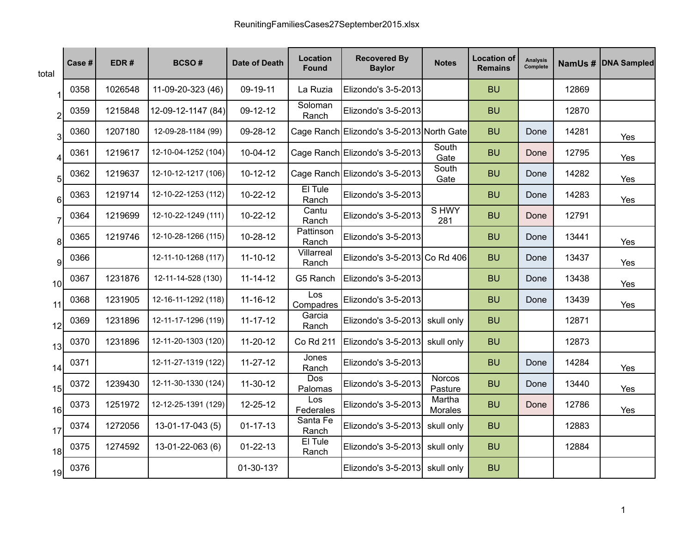| total            | Case # | EDR#    | <b>BCSO#</b>        | <b>Date of Death</b> | Location<br>Found   | <b>Recovered By</b><br><b>Baylor</b>      | <b>Notes</b>             | <b>Location of</b><br><b>Remains</b> | <b>Analysis</b><br>Complete |       | NamUs # DNA Sampled |
|------------------|--------|---------|---------------------|----------------------|---------------------|-------------------------------------------|--------------------------|--------------------------------------|-----------------------------|-------|---------------------|
|                  | 0358   | 1026548 | 11-09-20-323 (46)   | 09-19-11             | La Ruzia            | Elizondo's 3-5-2013                       |                          | <b>BU</b>                            |                             | 12869 |                     |
| $\overline{2}$   | 0359   | 1215848 | 12-09-12-1147 (84)  | 09-12-12             | Soloman<br>Ranch    | Elizondo's 3-5-2013                       |                          | <b>BU</b>                            |                             | 12870 |                     |
| 3                | 0360   | 1207180 | 12-09-28-1184 (99)  | 09-28-12             |                     | Cage Ranch Elizondo's 3-5-2013 North Gate |                          | <b>BU</b>                            | Done                        | 14281 | Yes                 |
| $\boldsymbol{4}$ | 0361   | 1219617 | 12-10-04-1252 (104) | 10-04-12             |                     | Cage Ranch Elizondo's 3-5-2013            | South<br>Gate            | <b>BU</b>                            | Done                        | 12795 | Yes                 |
| 5                | 0362   | 1219637 | 12-10-12-1217 (106) | $10-12-12$           |                     | Cage Ranch Elizondo's 3-5-2013            | South<br>Gate            | <b>BU</b>                            | Done                        | 14282 | Yes                 |
| 6                | 0363   | 1219714 | 12-10-22-1253 (112) | $10-22-12$           | El Tule<br>Ranch    | Elizondo's 3-5-2013                       |                          | <b>BU</b>                            | Done                        | 14283 | Yes                 |
| $\overline{7}$   | 0364   | 1219699 | 12-10-22-1249 (111) | 10-22-12             | Cantu<br>Ranch      | Elizondo's 3-5-2013                       | S HWY<br>281             | <b>BU</b>                            | Done                        | 12791 |                     |
| 8                | 0365   | 1219746 | 12-10-28-1266 (115) | 10-28-12             | Pattinson<br>Ranch  | Elizondo's 3-5-2013                       |                          | <b>BU</b>                            | Done                        | 13441 | Yes                 |
| 9                | 0366   |         | 12-11-10-1268 (117) | $11 - 10 - 12$       | Villarreal<br>Ranch | Elizondo's 3-5-2013 Co Rd 406             |                          | <b>BU</b>                            | Done                        | 13437 | Yes                 |
| 10               | 0367   | 1231876 | 12-11-14-528 (130)  | $11 - 14 - 12$       | G5 Ranch            | Elizondo's 3-5-2013                       |                          | <b>BU</b>                            | Done                        | 13438 | Yes                 |
| 11               | 0368   | 1231905 | 12-16-11-1292 (118) | $11 - 16 - 12$       | Los<br>Compadres    | Elizondo's 3-5-2013                       |                          | <b>BU</b>                            | Done                        | 13439 | Yes                 |
| 12               | 0369   | 1231896 | 12-11-17-1296 (119) | $11 - 17 - 12$       | Garcia<br>Ranch     | Elizondo's 3-5-2013                       | skull only               | <b>BU</b>                            |                             | 12871 |                     |
| 13               | 0370   | 1231896 | 12-11-20-1303 (120) | $11-20-12$           | <b>Co Rd 211</b>    | Elizondo's 3-5-2013                       | skull only               | <b>BU</b>                            |                             | 12873 |                     |
| 14               | 0371   |         | 12-11-27-1319 (122) | $11 - 27 - 12$       | Jones<br>Ranch      | Elizondo's 3-5-2013                       |                          | <b>BU</b>                            | Done                        | 14284 | Yes                 |
| 15               | 0372   | 1239430 | 12-11-30-1330 (124) | 11-30-12             | Dos<br>Palomas      | Elizondo's 3-5-2013                       | <b>Norcos</b><br>Pasture | <b>BU</b>                            | Done                        | 13440 | Yes                 |
| 16               | 0373   | 1251972 | 12-12-25-1391 (129) | 12-25-12             | Los<br>Federales    | Elizondo's 3-5-2013                       | Martha<br>Morales        | <b>BU</b>                            | Done                        | 12786 | Yes                 |
| 17               | 0374   | 1272056 | $13-01-17-043(5)$   | $01 - 17 - 13$       | Santa Fe<br>Ranch   | Elizondo's 3-5-2013                       | skull only               | <b>BU</b>                            |                             | 12883 |                     |
| 18               | 0375   | 1274592 | 13-01-22-063 (6)    | $01 - 22 - 13$       | El Tule<br>Ranch    | Elizondo's 3-5-2013                       | skull only               | <b>BU</b>                            |                             | 12884 |                     |
| 19               | 0376   |         |                     | 01-30-13?            |                     | Elizondo's 3-5-2013                       | skull only               | <b>BU</b>                            |                             |       |                     |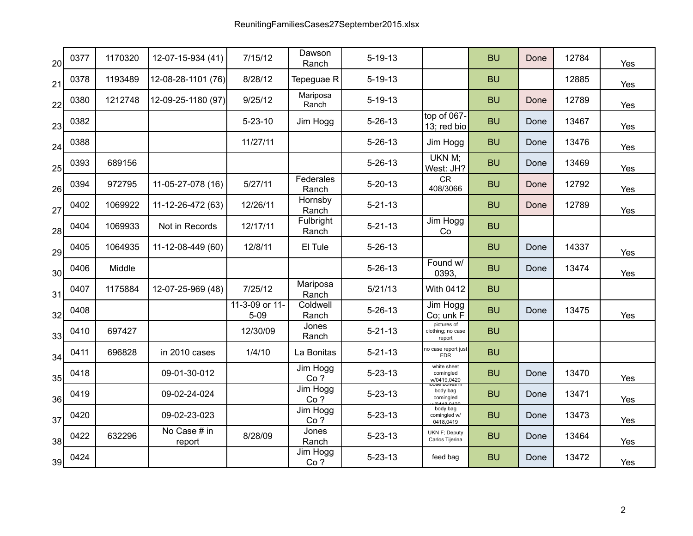| 20 <sup>1</sup> | 0377 | 1170320 | 12-07-15-934 (41)      | 7/15/12                    | Dawson<br>Ranch    | $5 - 19 - 13$ |                                            | <b>BU</b> | Done | 12784 | Yes |
|-----------------|------|---------|------------------------|----------------------------|--------------------|---------------|--------------------------------------------|-----------|------|-------|-----|
| 21              | 0378 | 1193489 | 12-08-28-1101 (76)     | 8/28/12                    | Tepeguae R         | $5 - 19 - 13$ |                                            | <b>BU</b> |      | 12885 | Yes |
| 22              | 0380 | 1212748 | 12-09-25-1180 (97)     | 9/25/12                    | Mariposa<br>Ranch  | $5 - 19 - 13$ |                                            | <b>BU</b> | Done | 12789 | Yes |
| 23              | 0382 |         |                        | $5 - 23 - 10$              | Jim Hogg           | $5 - 26 - 13$ | top of 067-<br>13; red bio                 | <b>BU</b> | Done | 13467 | Yes |
| 24              | 0388 |         |                        | 11/27/11                   |                    | $5 - 26 - 13$ | Jim Hogg                                   | <b>BU</b> | Done | 13476 | Yes |
| 25              | 0393 | 689156  |                        |                            |                    | $5 - 26 - 13$ | UKN M;<br>West: JH?                        | <b>BU</b> | Done | 13469 | Yes |
| 26              | 0394 | 972795  | 11-05-27-078 (16)      | 5/27/11                    | Federales<br>Ranch | $5 - 20 - 13$ | CR<br>408/3066                             | <b>BU</b> | Done | 12792 | Yes |
| 27              | 0402 | 1069922 | 11-12-26-472 (63)      | 12/26/11                   | Hornsby<br>Ranch   | $5 - 21 - 13$ |                                            | <b>BU</b> | Done | 12789 | Yes |
| 28              | 0404 | 1069933 | Not in Records         | 12/17/11                   | Fulbright<br>Ranch | $5 - 21 - 13$ | Jim Hogg<br>Co                             | <b>BU</b> |      |       |     |
| 29              | 0405 | 1064935 | 11-12-08-449 (60)      | 12/8/11                    | El Tule            | $5 - 26 - 13$ |                                            | <b>BU</b> | Done | 14337 | Yes |
| 30 <sup>1</sup> | 0406 | Middle  |                        |                            |                    | $5 - 26 - 13$ | Found w/<br>0393,                          | <b>BU</b> | Done | 13474 | Yes |
| 31              | 0407 | 1175884 | 12-07-25-969 (48)      | 7/25/12                    | Mariposa<br>Ranch  | 5/21/13       | <b>With 0412</b>                           | <b>BU</b> |      |       |     |
| 32              | 0408 |         |                        | 11-3-09 or 11-<br>$5 - 09$ | Coldwell<br>Ranch  | $5 - 26 - 13$ | Jim Hogg<br>Co; unk F                      | <b>BU</b> | Done | 13475 | Yes |
| 33              | 0410 | 697427  |                        | 12/30/09                   | Jones<br>Ranch     | $5 - 21 - 13$ | pictures of<br>clothing; no case<br>report | <b>BU</b> |      |       |     |
| 34              | 0411 | 696828  | in 2010 cases          | 1/4/10                     | La Bonitas         | $5 - 21 - 13$ | no case report just<br><b>EDR</b>          | <b>BU</b> |      |       |     |
| 35 <sup>1</sup> | 0418 |         | 09-01-30-012           |                            | Jim Hogg<br>Co?    | $5 - 23 - 13$ | white sheet<br>comingled<br>w/0419,0420    | <b>BU</b> | Done | 13470 | Yes |
| 36              | 0419 |         | 09-02-24-024           |                            | Jim Hogg<br>Co?    | $5 - 23 - 13$ | body bag<br>comingled                      | <b>BU</b> | Done | 13471 | Yes |
| 37              | 0420 |         | 09-02-23-023           |                            | Jim Hogg<br>Co?    | $5 - 23 - 13$ | body bag<br>comingled w/<br>0418,0419      | <b>BU</b> | Done | 13473 | Yes |
| 38              | 0422 | 632296  | No Case # in<br>report | 8/28/09                    | Jones<br>Ranch     | $5 - 23 - 13$ | UKN F; Deputy<br>Carlos Tijerina           | <b>BU</b> | Done | 13464 | Yes |
| 39              | 0424 |         |                        |                            | Jim Hogg<br>Co?    | $5 - 23 - 13$ | feed bag                                   | <b>BU</b> | Done | 13472 | Yes |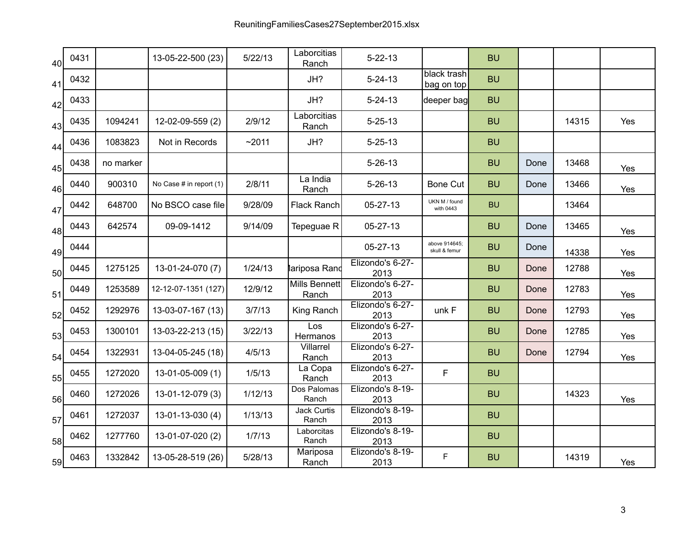| 40              | 0431 |           | 13-05-22-500 (23)       | 5/22/13 | Laborcitias<br>Ranch          | $5 - 22 - 13$            |                                | <b>BU</b> |      |       |     |
|-----------------|------|-----------|-------------------------|---------|-------------------------------|--------------------------|--------------------------------|-----------|------|-------|-----|
| 41              | 0432 |           |                         |         | JH?                           | $5 - 24 - 13$            | black trash<br>bag on top      | <b>BU</b> |      |       |     |
| 42              | 0433 |           |                         |         | JH?                           | $5 - 24 - 13$            | deeper bag                     | <b>BU</b> |      |       |     |
| 43              | 0435 | 1094241   | 12-02-09-559 (2)        | 2/9/12  | Laborcitias<br>Ranch          | $5 - 25 - 13$            |                                | <b>BU</b> |      | 14315 | Yes |
| 44              | 0436 | 1083823   | Not in Records          | ~2011   | JH?                           | $5 - 25 - 13$            |                                | <b>BU</b> |      |       |     |
| 45              | 0438 | no marker |                         |         |                               | $5 - 26 - 13$            |                                | <b>BU</b> | Done | 13468 | Yes |
| 46              | 0440 | 900310    | No Case # in report (1) | 2/8/11  | La India<br>Ranch             | $5 - 26 - 13$            | Bone Cut                       | <b>BU</b> | Done | 13466 | Yes |
| 47              | 0442 | 648700    | No BSCO case file       | 9/28/09 | <b>Flack Ranch</b>            | 05-27-13                 | UKN M / found<br>with 0443     | <b>BU</b> |      | 13464 |     |
| 48              | 0443 | 642574    | 09-09-1412              | 9/14/09 | Tepeguae R                    | 05-27-13                 |                                | <b>BU</b> | Done | 13465 | Yes |
| 49              | 0444 |           |                         |         |                               | 05-27-13                 | above 914645;<br>skull & femur | <b>BU</b> | Done | 14338 | Yes |
| 50 <sub>l</sub> | 0445 | 1275125   | 13-01-24-070 (7)        | 1/24/13 | lariposa Rand                 | Elizondo's 6-27-<br>2013 |                                | <b>BU</b> | Done | 12788 | Yes |
| 51              | 0449 | 1253589   | 12-12-07-1351 (127)     | 12/9/12 | <b>Mills Bennett</b><br>Ranch | Elizondo's 6-27-<br>2013 |                                | <b>BU</b> | Done | 12783 | Yes |
| 52              | 0452 | 1292976   | 13-03-07-167 (13)       | 3/7/13  | King Ranch                    | Elizondo's 6-27-<br>2013 | unk F                          | <b>BU</b> | Done | 12793 | Yes |
| 53              | 0453 | 1300101   | 13-03-22-213 (15)       | 3/22/13 | Los<br>Hermanos               | Elizondo's 6-27-<br>2013 |                                | <b>BU</b> | Done | 12785 | Yes |
| 54              | 0454 | 1322931   | 13-04-05-245 (18)       | 4/5/13  | Villarrel<br>Ranch            | Elizondo's 6-27-<br>2013 |                                | <b>BU</b> | Done | 12794 | Yes |
| 55              | 0455 | 1272020   | 13-01-05-009 (1)        | 1/5/13  | La Copa<br>Ranch              | Elizondo's 6-27-<br>2013 | F                              | <b>BU</b> |      |       |     |
| 56              | 0460 | 1272026   | 13-01-12-079 (3)        | 1/12/13 | Dos Palomas<br>Ranch          | Elizondo's 8-19-<br>2013 |                                | <b>BU</b> |      | 14323 | Yes |
| 57              | 0461 | 1272037   | 13-01-13-030 (4)        | 1/13/13 | <b>Jack Curtis</b><br>Ranch   | Elizondo's 8-19-<br>2013 |                                | <b>BU</b> |      |       |     |
| 58              | 0462 | 1277760   | 13-01-07-020 (2)        | 1/7/13  | Laborcitas<br>Ranch           | Elizondo's 8-19-<br>2013 |                                | <b>BU</b> |      |       |     |
| 59              | 0463 | 1332842   | 13-05-28-519 (26)       | 5/28/13 | Mariposa<br>Ranch             | Elizondo's 8-19-<br>2013 | F                              | <b>BU</b> |      | 14319 | Yes |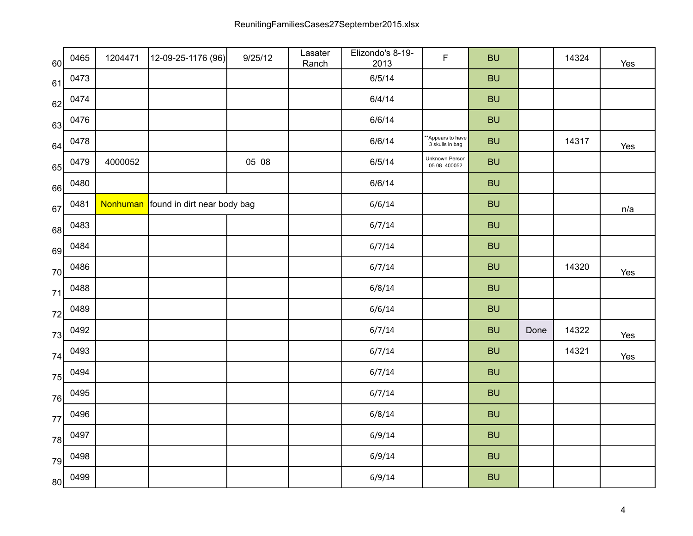| 60 | 0465 | 1204471 | 12-09-25-1176 (96)                   | 9/25/12 | Lasater<br>Ranch | Elizondo's 8-19-<br>2013 | $\mathsf F$                          | <b>BU</b> |      | 14324 | Yes |
|----|------|---------|--------------------------------------|---------|------------------|--------------------------|--------------------------------------|-----------|------|-------|-----|
| 61 | 0473 |         |                                      |         |                  | 6/5/14                   |                                      | <b>BU</b> |      |       |     |
| 62 | 0474 |         |                                      |         |                  | 6/4/14                   |                                      | <b>BU</b> |      |       |     |
| 63 | 0476 |         |                                      |         |                  | 6/6/14                   |                                      | <b>BU</b> |      |       |     |
| 64 | 0478 |         |                                      |         |                  | 6/6/14                   | **Appears to have<br>3 skulls in bag | <b>BU</b> |      | 14317 | Yes |
| 65 | 0479 | 4000052 |                                      | 05 08   |                  | 6/5/14                   | Unknown Person<br>05 08 400052       | <b>BU</b> |      |       |     |
| 66 | 0480 |         |                                      |         |                  | 6/6/14                   |                                      | <b>BU</b> |      |       |     |
| 67 | 0481 |         | Nonhuman found in dirt near body bag |         |                  | 6/6/14                   |                                      | <b>BU</b> |      |       | n/a |
| 68 | 0483 |         |                                      |         |                  | 6/7/14                   |                                      | <b>BU</b> |      |       |     |
| 69 | 0484 |         |                                      |         |                  | 6/7/14                   |                                      | <b>BU</b> |      |       |     |
| 70 | 0486 |         |                                      |         |                  | 6/7/14                   |                                      | <b>BU</b> |      | 14320 | Yes |
| 71 | 0488 |         |                                      |         |                  | 6/8/14                   |                                      | <b>BU</b> |      |       |     |
| 72 | 0489 |         |                                      |         |                  | 6/6/14                   |                                      | <b>BU</b> |      |       |     |
| 73 | 0492 |         |                                      |         |                  | 6/7/14                   |                                      | <b>BU</b> | Done | 14322 | Yes |
| 74 | 0493 |         |                                      |         |                  | 6/7/14                   |                                      | <b>BU</b> |      | 14321 | Yes |
| 75 | 0494 |         |                                      |         |                  | 6/7/14                   |                                      | <b>BU</b> |      |       |     |
| 76 | 0495 |         |                                      |         |                  | 6/7/14                   |                                      | <b>BU</b> |      |       |     |
| 77 | 0496 |         |                                      |         |                  | 6/8/14                   |                                      | <b>BU</b> |      |       |     |
| 78 | 0497 |         |                                      |         |                  | 6/9/14                   |                                      | <b>BU</b> |      |       |     |
| 79 | 0498 |         |                                      |         |                  | 6/9/14                   |                                      | <b>BU</b> |      |       |     |
| 80 | 0499 |         |                                      |         |                  | 6/9/14                   |                                      | <b>BU</b> |      |       |     |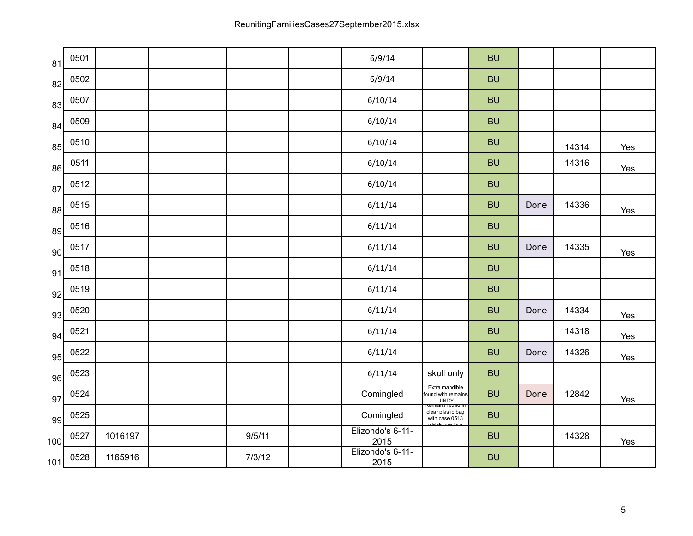| 81  | 0501 |         |        | 6/9/14                   |                                                                   | <b>BU</b> |      |       |     |
|-----|------|---------|--------|--------------------------|-------------------------------------------------------------------|-----------|------|-------|-----|
| 82  | 0502 |         |        | 6/9/14                   |                                                                   | <b>BU</b> |      |       |     |
| 83  | 0507 |         |        | 6/10/14                  |                                                                   | <b>BU</b> |      |       |     |
| 84  | 0509 |         |        | 6/10/14                  |                                                                   | <b>BU</b> |      |       |     |
| 85  | 0510 |         |        | 6/10/14                  |                                                                   | <b>BU</b> |      | 14314 | Yes |
| 86  | 0511 |         |        | 6/10/14                  |                                                                   | <b>BU</b> |      | 14316 | Yes |
| 87  | 0512 |         |        | 6/10/14                  |                                                                   | <b>BU</b> |      |       |     |
| 88  | 0515 |         |        | 6/11/14                  |                                                                   | <b>BU</b> | Done | 14336 | Yes |
| 89  | 0516 |         |        | 6/11/14                  |                                                                   | <b>BU</b> |      |       |     |
| 90  | 0517 |         |        | 6/11/14                  |                                                                   | <b>BU</b> | Done | 14335 | Yes |
| 91  | 0518 |         |        | 6/11/14                  |                                                                   | <b>BU</b> |      |       |     |
| 92  | 0519 |         |        | 6/11/14                  |                                                                   | <b>BU</b> |      |       |     |
| 93  | 0520 |         |        | 6/11/14                  |                                                                   | <b>BU</b> | Done | 14334 | Yes |
| 94  | 0521 |         |        | 6/11/14                  |                                                                   | <b>BU</b> |      | 14318 | Yes |
| 95  | 0522 |         |        | 6/11/14                  |                                                                   | <b>BU</b> | Done | 14326 | Yes |
| 96  | 0523 |         |        | 6/11/14                  | skull only                                                        | <b>BU</b> |      |       |     |
| 97  | 0524 |         |        | Comingled                | Extra mandible<br>found with remains<br>UINDY<br>Remains round in | <b>BU</b> | Done | 12842 | Yes |
| 99  | 0525 |         |        | Comingled                | clear plastic bag<br>with case 0513                               | <b>BU</b> |      |       |     |
| 100 | 0527 | 1016197 | 9/5/11 | Elizondo's 6-11-<br>2015 |                                                                   | <b>BU</b> |      | 14328 | Yes |
| 101 | 0528 | 1165916 | 7/3/12 | Elizondo's 6-11-<br>2015 |                                                                   | <b>BU</b> |      |       |     |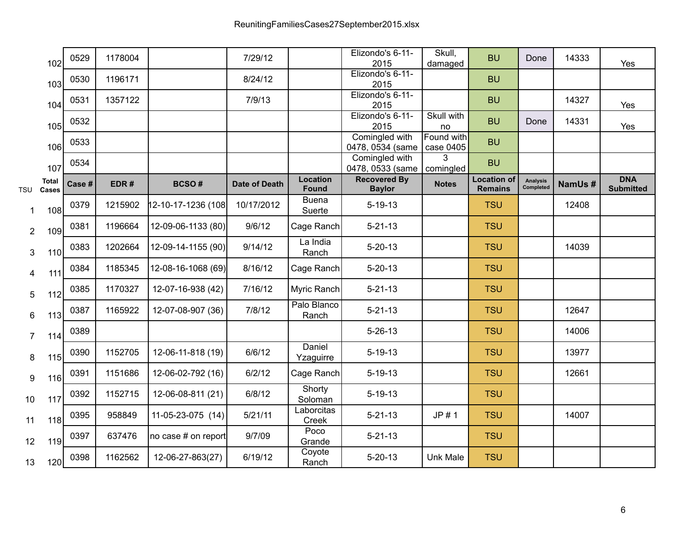|                | 102                   | 0529   | 1178004 |                     | 7/29/12              |                                 | Elizondo's 6-11-<br>2015             | Skull,<br>damaged       | <b>BU</b>                            | Done                         | 14333  | Yes                            |
|----------------|-----------------------|--------|---------|---------------------|----------------------|---------------------------------|--------------------------------------|-------------------------|--------------------------------------|------------------------------|--------|--------------------------------|
|                | 103                   | 0530   | 1196171 |                     | 8/24/12              |                                 | Elizondo's 6-11-<br>2015             |                         | <b>BU</b>                            |                              |        |                                |
|                | 104                   | 0531   | 1357122 |                     | 7/9/13               |                                 | Elizondo's 6-11-<br>2015             |                         | <b>BU</b>                            |                              | 14327  | Yes                            |
|                | 105                   | 0532   |         |                     |                      |                                 | Elizondo's 6-11-<br>2015             | Skull with<br>no        | <b>BU</b>                            | Done                         | 14331  | Yes                            |
|                | 106                   | 0533   |         |                     |                      |                                 | Comingled with<br>0478, 0534 (same   | Found with<br>case 0405 | <b>BU</b>                            |                              |        |                                |
|                | 107                   | 0534   |         |                     |                      |                                 | Comingled with<br>0478, 0533 (same   | 3<br>comingled          | <b>BU</b>                            |                              |        |                                |
| <b>TSU</b>     | <b>Total</b><br>Cases | Case # | EDR#    | <b>BCSO#</b>        | <b>Date of Death</b> | <b>Location</b><br><b>Found</b> | <b>Recovered By</b><br><b>Baylor</b> | <b>Notes</b>            | <b>Location of</b><br><b>Remains</b> | <b>Analysis</b><br>Completed | NamUs# | <b>DNA</b><br><b>Submitted</b> |
| 1              | 108                   | 0379   | 1215902 | 12-10-17-1236 (108) | 10/17/2012           | <b>Buena</b><br>Suerte          | $5 - 19 - 13$                        |                         | <b>TSU</b>                           |                              | 12408  |                                |
| $\overline{2}$ | 109                   | 0381   | 1196664 | 12-09-06-1133 (80)  | 9/6/12               | Cage Ranch                      | $5 - 21 - 13$                        |                         | <b>TSU</b>                           |                              |        |                                |
| 3              | 110                   | 0383   | 1202664 | 12-09-14-1155 (90)  | 9/14/12              | La India<br>Ranch               | $5 - 20 - 13$                        |                         | <b>TSU</b>                           |                              | 14039  |                                |
| 4              | 111                   | 0384   | 1185345 | 12-08-16-1068 (69)  | 8/16/12              | Cage Ranch                      | $5 - 20 - 13$                        |                         | <b>TSU</b>                           |                              |        |                                |
| 5              | 112                   | 0385   | 1170327 | 12-07-16-938 (42)   | 7/16/12              | Myric Ranch                     | $5 - 21 - 13$                        |                         | <b>TSU</b>                           |                              |        |                                |
| 6              | 113                   | 0387   | 1165922 | 12-07-08-907 (36)   | 7/8/12               | Palo Blanco<br>Ranch            | $5 - 21 - 13$                        |                         | <b>TSU</b>                           |                              | 12647  |                                |
| $\overline{7}$ | 114                   | 0389   |         |                     |                      |                                 | $5 - 26 - 13$                        |                         | <b>TSU</b>                           |                              | 14006  |                                |
| 8              | 115                   | 0390   | 1152705 | 12-06-11-818 (19)   | 6/6/12               | Daniel<br>Yzaguirre             | $5 - 19 - 13$                        |                         | <b>TSU</b>                           |                              | 13977  |                                |
| 9              | 116                   | 0391   | 1151686 | 12-06-02-792 (16)   | 6/2/12               | Cage Ranch                      | $5 - 19 - 13$                        |                         | <b>TSU</b>                           |                              | 12661  |                                |
| 10             | 117                   | 0392   | 1152715 | 12-06-08-811 (21)   | 6/8/12               | Shorty<br>Soloman               | $5 - 19 - 13$                        |                         | <b>TSU</b>                           |                              |        |                                |
| 11             | 118                   | 0395   | 958849  | 11-05-23-075 (14)   | 5/21/11              | Laborcitas<br>Creek             | $5 - 21 - 13$                        | JP #1                   | <b>TSU</b>                           |                              | 14007  |                                |
| 12             | 119                   | 0397   | 637476  | no case # on report | 9/7/09               | Poco<br>Grande                  | $5 - 21 - 13$                        |                         | <b>TSU</b>                           |                              |        |                                |
| 13             | 120                   | 0398   | 1162562 | 12-06-27-863(27)    | 6/19/12              | Coyote<br>Ranch                 | $5 - 20 - 13$                        | <b>Unk Male</b>         | <b>TSU</b>                           |                              |        |                                |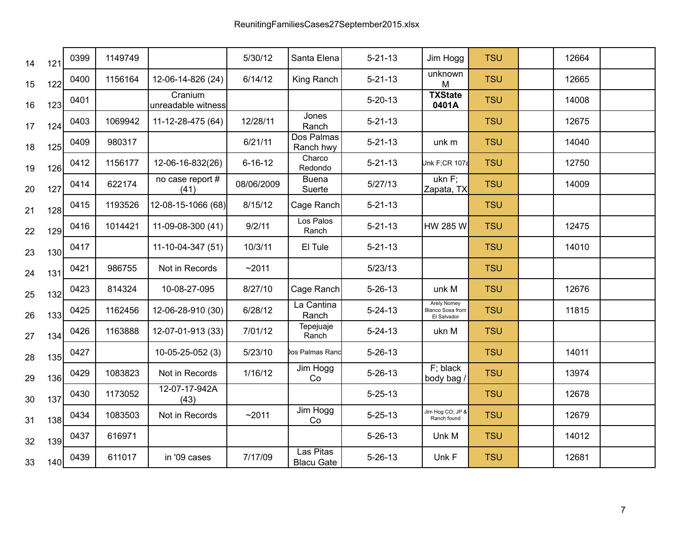| 14 | 121 | 0399 | 1149749 |                               | 5/30/12       | Santa Elena                    | $5 - 21 - 13$ | Jim Hogg                                              | <b>TSU</b> | 12664 |  |
|----|-----|------|---------|-------------------------------|---------------|--------------------------------|---------------|-------------------------------------------------------|------------|-------|--|
| 15 | 122 | 0400 | 1156164 | 12-06-14-826 (24)             | 6/14/12       | King Ranch                     | $5 - 21 - 13$ | unknown<br>M                                          | <b>TSU</b> | 12665 |  |
| 16 | 123 | 0401 |         | Cranium<br>unreadable witness |               |                                | $5 - 20 - 13$ | <b>TXState</b><br>0401A                               | <b>TSU</b> | 14008 |  |
| 17 | 124 | 0403 | 1069942 | 11-12-28-475 (64)             | 12/28/11      | Jones<br>Ranch                 | $5 - 21 - 13$ |                                                       | <b>TSU</b> | 12675 |  |
| 18 | 125 | 0409 | 980317  |                               | 6/21/11       | Dos Palmas<br>Ranch hwy        | $5 - 21 - 13$ | unk m                                                 | <b>TSU</b> | 14040 |  |
| 19 | 126 | 0412 | 1156177 | 12-06-16-832(26)              | $6 - 16 - 12$ | Charco<br>Redondo              | $5 - 21 - 13$ | Unk F;CR 107a                                         | <b>TSU</b> | 12750 |  |
| 20 | 127 | 0414 | 622174  | no case report #<br>(41)      | 08/06/2009    | <b>Buena</b><br>Suerte         | 5/27/13       | ukn F;<br>Zapata, TX                                  | <b>TSU</b> | 14009 |  |
| 21 | 128 | 0415 | 1193526 | 12-08-15-1066 (68)            | 8/15/12       | Cage Ranch                     | $5 - 21 - 13$ |                                                       | <b>TSU</b> |       |  |
| 22 | 129 | 0416 | 1014421 | 11-09-08-300 (41)             | 9/2/11        | Los Palos<br>Ranch             | $5 - 21 - 13$ | HW 285 W                                              | <b>TSU</b> | 12475 |  |
| 23 | 130 | 0417 |         | 11-10-04-347 (51)             | 10/3/11       | El Tule                        | $5 - 21 - 13$ |                                                       | <b>TSU</b> | 14010 |  |
| 24 | 131 | 0421 | 986755  | Not in Records                | ~2011         |                                | 5/23/13       |                                                       | <b>TSU</b> |       |  |
| 25 | 132 | 0423 | 814324  | 10-08-27-095                  | 8/27/10       | Cage Ranch                     | $5 - 26 - 13$ | unk M                                                 | <b>TSU</b> | 12676 |  |
| 26 | 133 | 0425 | 1162456 | 12-06-28-910 (30)             | 6/28/12       | La Cantina<br>Ranch            | $5 - 24 - 13$ | <b>Arely Nomey</b><br>Blanco Sosa from<br>El Salvador | <b>TSU</b> | 11815 |  |
| 27 | 134 | 0426 | 1163888 | 12-07-01-913 (33)             | 7/01/12       | Tepejuaje<br>Ranch             | $5 - 24 - 13$ | ukn M                                                 | <b>TSU</b> |       |  |
| 28 | 135 | 0427 |         | 10-05-25-052 (3)              | 5/23/10       | los Palmas Ranc                | $5 - 26 - 13$ |                                                       | <b>TSU</b> | 14011 |  |
| 29 | 136 | 0429 | 1083823 | Not in Records                | 1/16/12       | Jim Hogg<br>Co                 | $5 - 26 - 13$ | $F$ ; black<br>body bag /                             | <b>TSU</b> | 13974 |  |
| 30 | 137 | 0430 | 1173052 | 12-07-17-942A<br>(43)         |               |                                | $5 - 25 - 13$ |                                                       | <b>TSU</b> | 12678 |  |
| 31 | 138 | 0434 | 1083503 | Not in Records                | ~2011         | Jim Hogg<br>Co                 | $5 - 25 - 13$ | Jim Hog CO; JP &<br>Ranch found                       | <b>TSU</b> | 12679 |  |
| 32 | 139 | 0437 | 616971  |                               |               |                                | $5 - 26 - 13$ | Unk M                                                 | <b>TSU</b> | 14012 |  |
| 33 | 140 | 0439 | 611017  | in '09 cases                  | 7/17/09       | Las Pitas<br><b>Blacu Gate</b> | $5 - 26 - 13$ | Unk F                                                 | <b>TSU</b> | 12681 |  |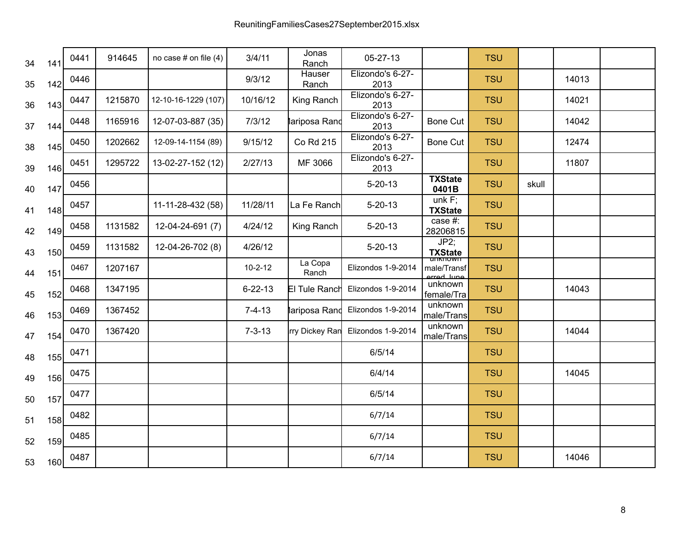| 34 | 141 | 0441 | 914645  | no case # on file $(4)$ | 3/4/11        | Jonas<br>Ranch   | 05-27-13                         |                                                                                                                                                                                        | <b>TSU</b> |       |       |  |
|----|-----|------|---------|-------------------------|---------------|------------------|----------------------------------|----------------------------------------------------------------------------------------------------------------------------------------------------------------------------------------|------------|-------|-------|--|
| 35 | 142 | 0446 |         |                         | 9/3/12        | Hauser<br>Ranch  | Elizondo's 6-27-<br>2013         |                                                                                                                                                                                        | <b>TSU</b> |       | 14013 |  |
| 36 | 143 | 0447 | 1215870 | 12-10-16-1229 (107)     | 10/16/12      | King Ranch       | Elizondo's 6-27-<br>2013         |                                                                                                                                                                                        | <b>TSU</b> |       | 14021 |  |
| 37 | 144 | 0448 | 1165916 | 12-07-03-887 (35)       | 7/3/12        | lariposa Rand    | Elizondo's 6-27-<br>2013         | <b>Bone Cut</b>                                                                                                                                                                        | <b>TSU</b> |       | 14042 |  |
| 38 | 145 | 0450 | 1202662 | 12-09-14-1154 (89)      | 9/15/12       | Co Rd 215        | Elizondo's 6-27-<br>2013         | <b>Bone Cut</b>                                                                                                                                                                        | <b>TSU</b> |       | 12474 |  |
| 39 | 146 | 0451 | 1295722 | 13-02-27-152 (12)       | 2/27/13       | MF 3066          | Elizondo's 6-27-<br>2013         |                                                                                                                                                                                        | <b>TSU</b> |       | 11807 |  |
| 40 | 147 | 0456 |         |                         |               |                  | $5 - 20 - 13$                    | <b>TXState</b><br>0401B                                                                                                                                                                | <b>TSU</b> | skull |       |  |
| 41 | 148 | 0457 |         | 11-11-28-432 (58)       | 11/28/11      | La Fe Ranch      | $5 - 20 - 13$                    | unk $F$ ;<br><b>TXState</b>                                                                                                                                                            | <b>TSU</b> |       |       |  |
| 42 | 149 | 0458 | 1131582 | 12-04-24-691 (7)        | 4/24/12       | King Ranch       | $5 - 20 - 13$                    | case #:<br>28206815                                                                                                                                                                    | <b>TSU</b> |       |       |  |
| 43 | 150 | 0459 | 1131582 | 12-04-26-702 (8)        | 4/26/12       |                  | $5 - 20 - 13$                    | JP2;<br><b>TXState</b>                                                                                                                                                                 | <b>TSU</b> |       |       |  |
| 44 | 151 | 0467 | 1207167 |                         | $10 - 2 - 12$ | La Copa<br>Ranch | Elizondos 1-9-2014               | $\frac{1}{2}$ $\frac{1}{2}$ $\frac{1}{2}$ $\frac{1}{2}$ $\frac{1}{2}$ $\frac{1}{2}$ $\frac{1}{2}$ $\frac{1}{2}$ $\frac{1}{2}$ $\frac{1}{2}$ $\frac{1}{2}$<br>male/Transf<br>arrad luna | <b>TSU</b> |       |       |  |
| 45 | 152 | 0468 | 1347195 |                         | $6 - 22 - 13$ | El Tule Ranch    | Elizondos 1-9-2014               | unknown<br>female/Tra                                                                                                                                                                  | <b>TSU</b> |       | 14043 |  |
| 46 | 153 | 0469 | 1367452 |                         | $7 - 4 - 13$  |                  | lariposa Rand Elizondos 1-9-2014 | unknown<br>male/Trans                                                                                                                                                                  | <b>TSU</b> |       |       |  |
| 47 | 154 | 0470 | 1367420 |                         | $7 - 3 - 13$  | rry Dickey Ran   | Elizondos 1-9-2014               | unknown<br>male/Trans                                                                                                                                                                  | <b>TSU</b> |       | 14044 |  |
| 48 | 155 | 0471 |         |                         |               |                  | 6/5/14                           |                                                                                                                                                                                        | <b>TSU</b> |       |       |  |
| 49 | 156 | 0475 |         |                         |               |                  | 6/4/14                           |                                                                                                                                                                                        | <b>TSU</b> |       | 14045 |  |
| 50 | 157 | 0477 |         |                         |               |                  | 6/5/14                           |                                                                                                                                                                                        | <b>TSU</b> |       |       |  |
| 51 | 158 | 0482 |         |                         |               |                  | 6/7/14                           |                                                                                                                                                                                        | <b>TSU</b> |       |       |  |
| 52 | 159 | 0485 |         |                         |               |                  | 6/7/14                           |                                                                                                                                                                                        | <b>TSU</b> |       |       |  |
| 53 | 160 | 0487 |         |                         |               |                  | 6/7/14                           |                                                                                                                                                                                        | <b>TSU</b> |       | 14046 |  |